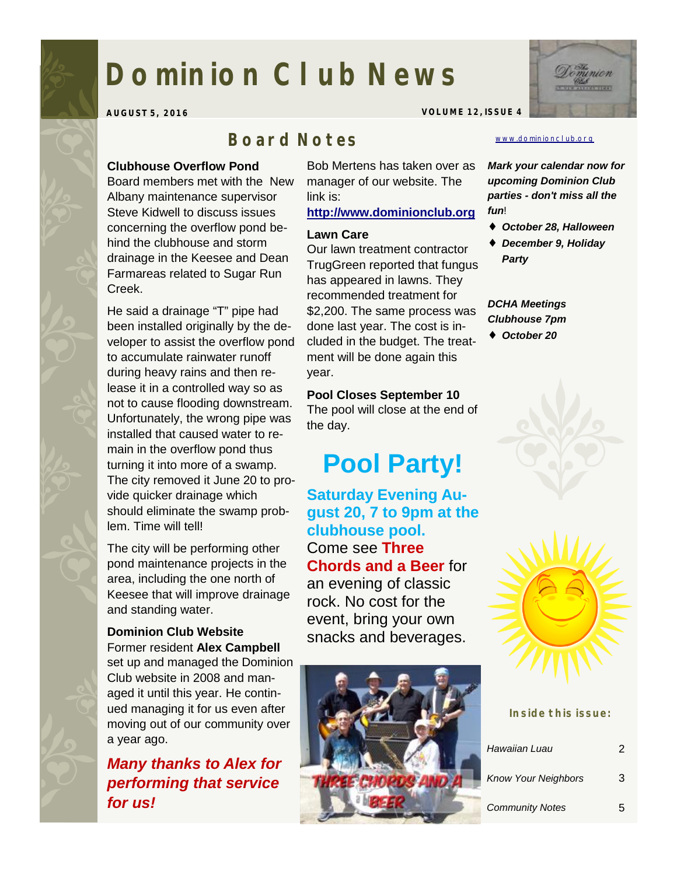# **Dominion Club News**

**AUGUST 5, 2016 VOLUME 12, ISSUE 4** 

## *Board Notes*

### **Clubhouse Overflow Pond**

Board members met with the New Albany maintenance supervisor Steve Kidwell to discuss issues concerning the overflow pond behind the clubhouse and storm drainage in the Keesee and Dean Farmareas related to Sugar Run Creek.

He said a drainage "T" pipe had been installed originally by the developer to assist the overflow pond to accumulate rainwater runoff during heavy rains and then release it in a controlled way so as not to cause flooding downstream. Unfortunately, the wrong pipe was installed that caused water to remain in the overflow pond thus turning it into more of a swamp. The city removed it June 20 to provide quicker drainage which should eliminate the swamp problem. Time will tell!

The city will be performing other pond maintenance projects in the area, including the one north of Keesee that will improve drainage and standing water.

## **Dominion Club Website**

Former resident **Alex Campbell**  set up and managed the Dominion Club website in 2008 and managed it until this year. He continued managing it for us even after moving out of our community over a year ago.

*Many thanks to Alex for performing that service for us!* 

Bob Mertens has taken over as manager of our website. The link is:

#### **<http://www.dominionclub.org>**

#### **Lawn Care**

Our lawn treatment contractor TrugGreen reported that fungus has appeared in lawns. They recommended treatment for \$2,200. The same process was done last year. The cost is included in the budget. The treatment will be done again this year.

## **Pool Closes September 10**

The pool will close at the end of the day.

## **Pool Party!**

**Saturday Evening August 20, 7 to 9pm at the clubhouse pool.**  Come see **Three Chords and a Beer** for an evening of classic rock. No cost for the event, bring your own snacks and beverages.



#### [www.dominionclub.org](http://www.dominionclub.org)

*Mark your calendar now for upcoming Dominion Club parties - don't miss all the fun*!

- ♦ *October 28, Halloween*
- ♦ *December 9, Holiday Party*

### *DCHA Meetings Clubhouse 7pm*

♦ *October 20* 



| Inside this issue:         |   |
|----------------------------|---|
| Hawaiian Luau              | 2 |
| <b>Know Your Neighbors</b> | 3 |
| <b>Community Notes</b>     | ҕ |

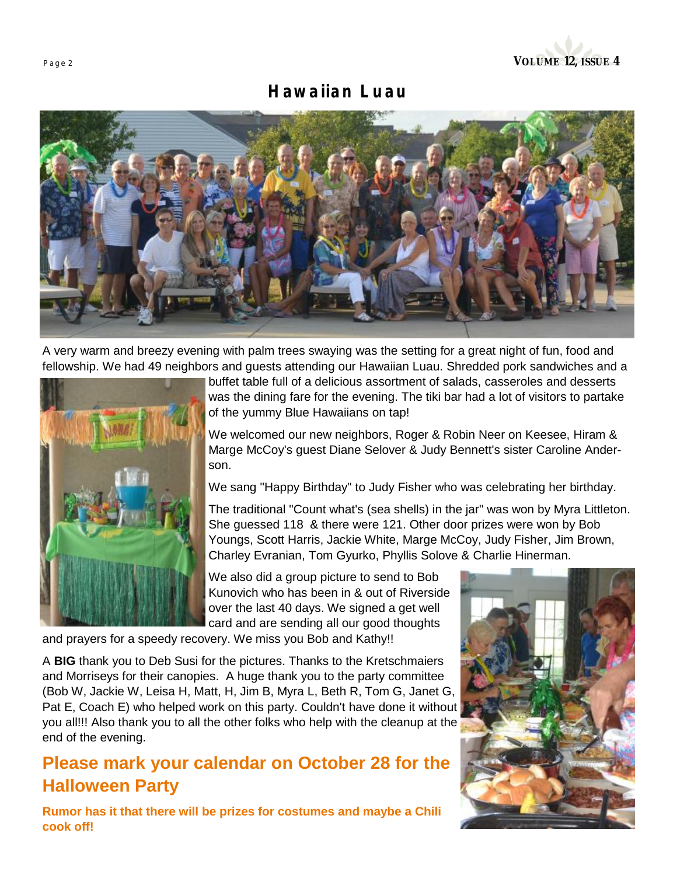## *Hawaiian Luau*



A very warm and breezy evening with palm trees swaying was the setting for a great night of fun, food and fellowship. We had 49 neighbors and guests attending our Hawaiian Luau. Shredded pork sandwiches and a



buffet table full of a delicious assortment of salads, casseroles and desserts was the dining fare for the evening. The tiki bar had a lot of visitors to partake of the yummy Blue Hawaiians on tap!

We welcomed our new neighbors, Roger & Robin Neer on Keesee, Hiram & Marge McCoy's guest Diane Selover & Judy Bennett's sister Caroline Anderson.

We sang "Happy Birthday" to Judy Fisher who was celebrating her birthday.

The traditional "Count what's (sea shells) in the jar" was won by Myra Littleton. She guessed 118 & there were 121. Other door prizes were won by Bob Youngs, Scott Harris, Jackie White, Marge McCoy, Judy Fisher, Jim Brown, Charley Evranian, Tom Gyurko, Phyllis Solove & Charlie Hinerman.

We also did a group picture to send to Bob Kunovich who has been in & out of Riverside over the last 40 days. We signed a get well card and are sending all our good thoughts

and prayers for a speedy recovery. We miss you Bob and Kathy!!

A **BIG** thank you to Deb Susi for the pictures. Thanks to the Kretschmaiers and Morriseys for their canopies. A huge thank you to the party committee (Bob W, Jackie W, Leisa H, Matt, H, Jim B, Myra L, Beth R, Tom G, Janet G, Pat E, Coach E) who helped work on this party. Couldn't have done it without you all!!! Also thank you to all the other folks who help with the cleanup at the end of the evening.

## **Please mark your calendar on October 28 for the Halloween Party**

**Rumor has it that there will be prizes for costumes and maybe a Chili cook off!** 

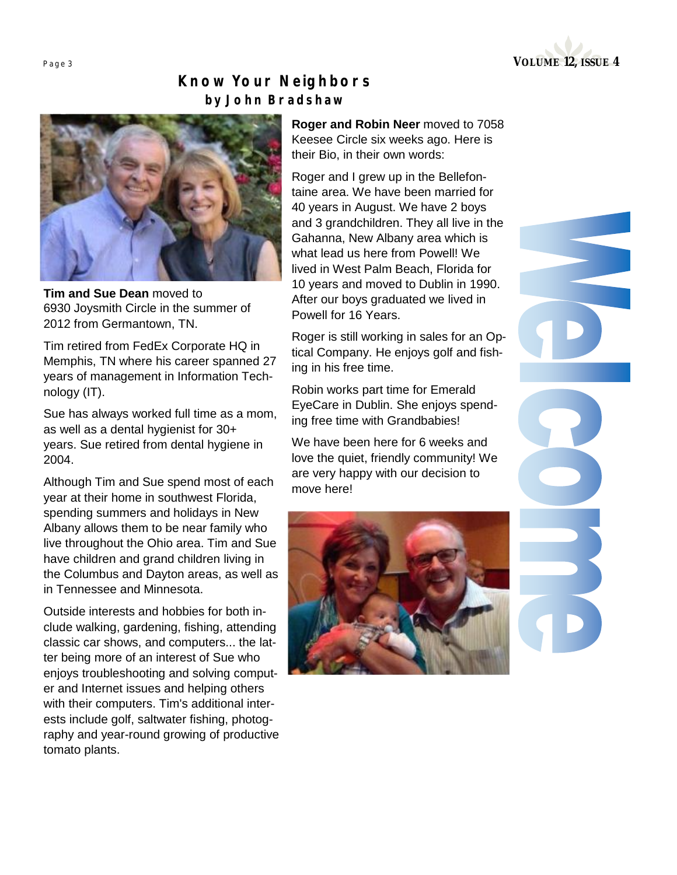

## *Know Your Neighbors by John Bradshaw*



**Tim and Sue Dean** moved to 6930 Joysmith Circle in the summer of 2012 from Germantown, TN.

Tim retired from FedEx Corporate HQ in Memphis, TN where his career spanned 27 years of management in Information Technology (IT).

Sue has always worked full time as a mom, as well as a dental hygienist for 30+ years. Sue retired from dental hygiene in 2004.

Although Tim and Sue spend most of each year at their home in southwest Florida, spending summers and holidays in New Albany allows them to be near family who live throughout the Ohio area. Tim and Sue have children and grand children living in the Columbus and Dayton areas, as well as in Tennessee and Minnesota.

Outside interests and hobbies for both include walking, gardening, fishing, attending classic car shows, and computers... the latter being more of an interest of Sue who enjoys troubleshooting and solving computer and Internet issues and helping others with their computers. Tim's additional interests include golf, saltwater fishing, photography and year-round growing of productive tomato plants.

**Roger and Robin Neer** moved to 7058 Keesee Circle six weeks ago. Here is their Bio, in their own words:

Roger and I grew up in the Bellefontaine area. We have been married for 40 years in August. We have 2 boys and 3 grandchildren. They all live in the Gahanna, New Albany area which is what lead us here from Powell! We lived in West Palm Beach, Florida for 10 years and moved to Dublin in 1990. After our boys graduated we lived in Powell for 16 Years.

Roger is still working in sales for an Optical Company. He enjoys golf and fishing in his free time.

Robin works part time for Emerald EyeCare in Dublin. She enjoys spending free time with Grandbabies!

We have been here for 6 weeks and love the quiet, friendly community! We are very happy with our decision to move here!

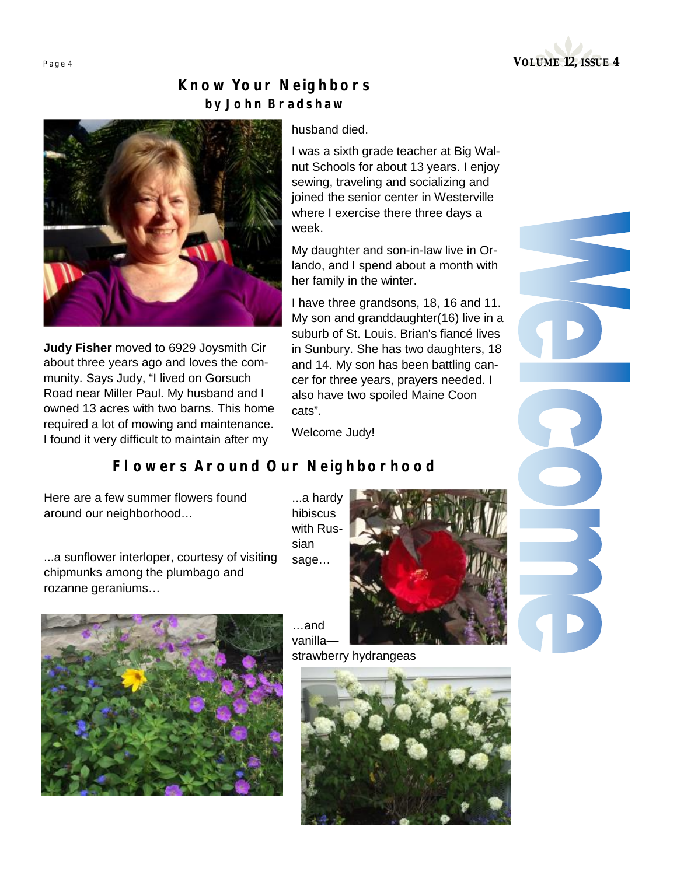

## *Know Your Neighbors by John Bradshaw*



**Judy Fisher** moved to 6929 Joysmith Cir about three years ago and loves the community. Says Judy, "I lived on Gorsuch Road near Miller Paul. My husband and I owned 13 acres with two barns. This home required a lot of mowing and maintenance. I found it very difficult to maintain after my

husband died.

I was a sixth grade teacher at Big Walnut Schools for about 13 years. I enjoy sewing, traveling and socializing and joined the senior center in Westerville where I exercise there three days a week.

My daughter and son-in-law live in Orlando, and I spend about a month with her family in the winter.

I have three grandsons, 18, 16 and 11. My son and granddaughter(16) live in a suburb of St. Louis. Brian's fiancé lives in Sunbury. She has two daughters, 18 and 14. My son has been battling cancer for three years, prayers needed. I also have two spoiled Maine Coon cats".

Welcome Judy!

hibiscus

sian sage…

…and

## *Flowers Around Our Neighborhood*

Here are a few summer flowers found around our neighborhood…

...a sunflower interloper, courtesy of visiting chipmunks among the plumbago and rozanne geraniums…





strawberry hydrangeas